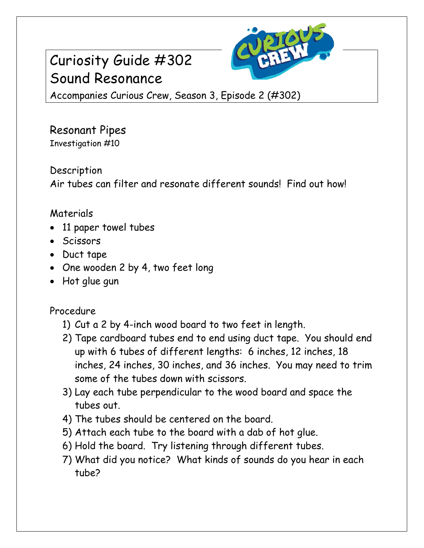# Curiosity Guide #302 Sound Resonance



Accompanies Curious Crew, Season 3, Episode 2 (#302)

Resonant Pipes Investigation #10

**Description** Air tubes can filter and resonate different sounds! Find out how!

### Materials

- 11 paper towel tubes
- Scissors
- Duct tape
- One wooden 2 by 4, two feet long
- Hot glue gun

Procedure

- 1) Cut a 2 by 4-inch wood board to two feet in length.
- 2) Tape cardboard tubes end to end using duct tape. You should end up with 6 tubes of different lengths: 6 inches, 12 inches, 18 inches, 24 inches, 30 inches, and 36 inches. You may need to trim some of the tubes down with scissors.
- 3) Lay each tube perpendicular to the wood board and space the tubes out.
- 4) The tubes should be centered on the board.
- 5) Attach each tube to the board with a dab of hot glue.
- 6) Hold the board. Try listening through different tubes.
- 7) What did you notice? What kinds of sounds do you hear in each tube?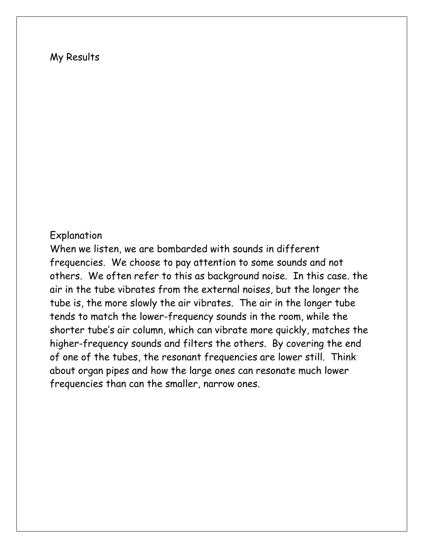#### My Results

#### Explanation

When we listen, we are bombarded with sounds in different frequencies. We choose to pay attention to some sounds and not others. We often refer to this as background noise. In this case. the air in the tube vibrates from the external noises, but the longer the tube is, the more slowly the air vibrates. The air in the longer tube tends to match the lower-frequency sounds in the room, while the shorter tube's air column, which can vibrate more quickly, matches the higher-frequency sounds and filters the others. By covering the end of one of the tubes, the resonant frequencies are lower still. Think about organ pipes and how the large ones can resonate much lower frequencies than can the smaller, narrow ones.